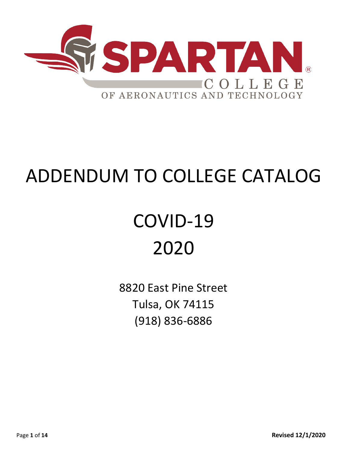

# ADDENDUM TO COLLEGE CATALOG

# COVID-19 2020

8820 East Pine Street Tulsa, OK 74115 (918) 836-6886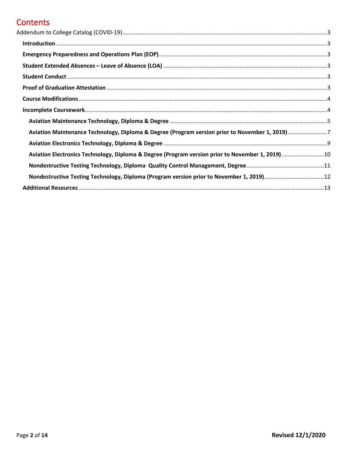## **Contents**

| Aviation Maintenance Technology, Diploma & Degree (Program version prior to November 1, 2019)7<br>Aviation Electronics Technology, Diploma & Degree (Program version prior to November 1, 2019)10 |  |
|---------------------------------------------------------------------------------------------------------------------------------------------------------------------------------------------------|--|
|                                                                                                                                                                                                   |  |
|                                                                                                                                                                                                   |  |
|                                                                                                                                                                                                   |  |
|                                                                                                                                                                                                   |  |
|                                                                                                                                                                                                   |  |
|                                                                                                                                                                                                   |  |
|                                                                                                                                                                                                   |  |
|                                                                                                                                                                                                   |  |
|                                                                                                                                                                                                   |  |
|                                                                                                                                                                                                   |  |
|                                                                                                                                                                                                   |  |
|                                                                                                                                                                                                   |  |
|                                                                                                                                                                                                   |  |
|                                                                                                                                                                                                   |  |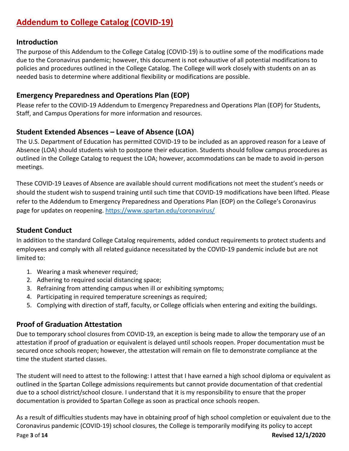# <span id="page-2-0"></span>**Addendum to College Catalog (COVID-19)**

## <span id="page-2-1"></span>**Introduction**

The purpose of this Addendum to the College Catalog (COVID-19) is to outline some of the modifications made due to the Coronavirus pandemic; however, this document is not exhaustive of all potential modifications to policies and procedures outlined in the College Catalog. The College will work closely with students on an as needed basis to determine where additional flexibility or modifications are possible.

## <span id="page-2-2"></span>**Emergency Preparedness and Operations Plan (EOP)**

Please refer to the COVID-19 Addendum to Emergency Preparedness and Operations Plan (EOP) for Students, Staff, and Campus Operations for more information and resources.

## <span id="page-2-3"></span>**Student Extended Absences – Leave of Absence (LOA)**

The U.S. Department of Education has permitted COVID-19 to be included as an approved reason for a Leave of Absence (LOA) should students wish to postpone their education. Students should follow campus procedures as outlined in the College Catalog to request the LOA; however, accommodations can be made to avoid in-person meetings.

These COVID-19 Leaves of Absence are available should current modifications not meet the student's needs or should the student wish to suspend training until such time that COVID-19 modifications have been lifted. Please refer to the Addendum to Emergency Preparedness and Operations Plan (EOP) on the College's Coronavirus page for updates on reopening.<https://www.spartan.edu/coronavirus/>

## <span id="page-2-4"></span>**Student Conduct**

In addition to the standard College Catalog requirements, added conduct requirements to protect students and employees and comply with all related guidance necessitated by the COVID-19 pandemic include but are not limited to:

- 1. Wearing a mask whenever required;
- 2. Adhering to required social distancing space;
- 3. Refraining from attending campus when ill or exhibiting symptoms;
- 4. Participating in required temperature screenings as required;
- 5. Complying with direction of staff, faculty, or College officials when entering and exiting the buildings.

## <span id="page-2-5"></span>**Proof of Graduation Attestation**

Due to temporary school closures from COVID-19, an exception is being made to allow the temporary use of an attestation if proof of graduation or equivalent is delayed until schools reopen. Proper documentation must be secured once schools reopen; however, the attestation will remain on file to demonstrate compliance at the time the student started classes.

The student will need to attest to the following: I attest that I have earned a high school diploma or equivalent as outlined in the Spartan College admissions requirements but cannot provide documentation of that credential due to a school district/school closure. I understand that it is my responsibility to ensure that the proper documentation is provided to Spartan College as soon as practical once schools reopen.

Page **3** of **14 Revised 12/1/2020** As a result of difficulties students may have in obtaining proof of high school completion or equivalent due to the Coronavirus pandemic (COVID-19) school closures, the College is temporarily modifying its policy to accept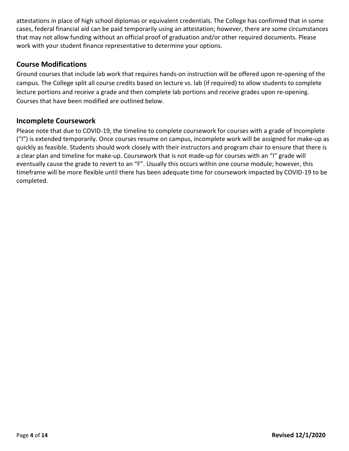attestations in place of high school diplomas or equivalent credentials. The College has confirmed that in some cases, federal financial aid can be paid temporarily using an attestation; however, there are some circumstances that may not allow funding without an official proof of graduation and/or other required documents. Please work with your student finance representative to determine your options.

## <span id="page-3-0"></span>**Course Modifications**

Ground courses that include lab work that requires hands-on instruction will be offered upon re-opening of the campus. The College split all course credits based on lecture vs. lab (if required) to allow students to complete lecture portions and receive a grade and then complete lab portions and receive grades upon re-opening. Courses that have been modified are outlined below.

### <span id="page-3-1"></span>**Incomplete Coursework**

Please note that due to COVID-19, the timeline to complete coursework for courses with a grade of Incomplete ("I") is extended temporarily. Once courses resume on campus, incomplete work will be assigned for make-up as quickly as feasible. Students should work closely with their instructors and program chair to ensure that there is a clear plan and timeline for make-up. Coursework that is not made-up for courses with an "I" grade will eventually cause the grade to revert to an "F". Usually this occurs within one course module; however, this timeframe will be more flexible until there has been adequate time for coursework impacted by COVID-19 to be completed.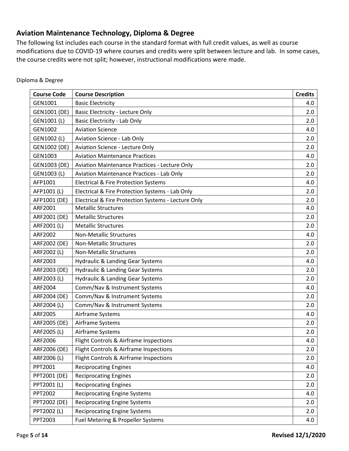## <span id="page-4-0"></span>**Aviation Maintenance Technology, Diploma & Degree**

The following list includes each course in the standard format with full credit values, as well as course modifications due to COVID-19 where courses and credits were split between lecture and lab. In some cases, the course credits were not split; however, instructional modifications were made.

| <b>Course Code</b>  | <b>Course Description</b>                           | <b>Credits</b> |
|---------------------|-----------------------------------------------------|----------------|
| GEN1001             | <b>Basic Electricity</b>                            | 4.0            |
| GEN1001 (DE)        | <b>Basic Electricity - Lecture Only</b>             | 2.0            |
| GEN1001 (L)         | Basic Electricity - Lab Only                        | 2.0            |
| GEN1002             | <b>Aviation Science</b>                             | 4.0            |
| GEN1002 (L)         | <b>Aviation Science - Lab Only</b>                  | 2.0            |
| GEN1002 (DE)        | <b>Aviation Science - Lecture Only</b>              | 2.0            |
| GEN1003             | <b>Aviation Maintenance Practices</b>               | 4.0            |
| GEN1003 (DE)        | Aviation Maintenance Practices - Lecture Only       | 2.0            |
| GEN1003 (L)         | Aviation Maintenance Practices - Lab Only           | 2.0            |
| AFP1001             | <b>Electrical &amp; Fire Protection Systems</b>     | 4.0            |
| AFP1001 (L)         | Electrical & Fire Protection Systems - Lab Only     | 2.0            |
| AFP1001 (DE)        | Electrical & Fire Protection Systems - Lecture Only | 2.0            |
| ARF2001             | <b>Metallic Structures</b>                          | 4.0            |
| ARF2001 (DE)        | <b>Metallic Structures</b>                          | 2.0            |
| ARF2001 (L)         | <b>Metallic Structures</b>                          | 2.0            |
| ARF2002             | <b>Non-Metallic Structures</b>                      | 4.0            |
| ARF2002 (DE)        | <b>Non-Metallic Structures</b>                      | 2.0            |
| ARF2002 (L)         | <b>Non-Metallic Structures</b>                      | 2.0            |
| ARF2003             | <b>Hydraulic &amp; Landing Gear Systems</b>         | 4.0            |
| ARF2003 (DE)        | <b>Hydraulic &amp; Landing Gear Systems</b>         | 2.0            |
| ARF2003 (L)         | Hydraulic & Landing Gear Systems                    | 2.0            |
| ARF2004             | Comm/Nav & Instrument Systems                       | 4.0            |
| ARF2004 (DE)        | Comm/Nav & Instrument Systems                       | 2.0            |
| ARF2004 (L)         | Comm/Nav & Instrument Systems                       | 2.0            |
| ARF2005             | Airframe Systems                                    | 4.0            |
| ARF2005 (DE)        | Airframe Systems                                    | 2.0            |
| ARF2005 (L)         | Airframe Systems                                    | 2.0            |
| ARF2006             | Flight Controls & Airframe Inspections              | 4.0            |
| ARF2006 (DE)        | Flight Controls & Airframe Inspections              | 2.0            |
| ARF2006 (L)         | Flight Controls & Airframe Inspections              | 2.0            |
| PPT2001             | <b>Reciprocating Engines</b>                        | 4.0            |
| PPT2001 (DE)        | <b>Reciprocating Engines</b>                        | 2.0            |
| PPT2001 (L)         | <b>Reciprocating Engines</b>                        | 2.0            |
| PPT2002             | <b>Reciprocating Engine Systems</b>                 | 4.0            |
| <b>PPT2002 (DE)</b> | <b>Reciprocating Engine Systems</b>                 | 2.0            |
| PPT2002 (L)         | <b>Reciprocating Engine Systems</b>                 | 2.0            |
| PPT2003             | Fuel Metering & Propeller Systems                   | 4.0            |

#### Diploma & Degree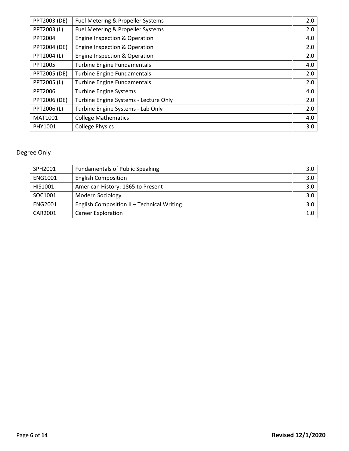| PPT2003 (DE)        | Fuel Metering & Propeller Systems     | 2.0 |
|---------------------|---------------------------------------|-----|
| PPT2003 (L)         | Fuel Metering & Propeller Systems     | 2.0 |
| PPT2004             | Engine Inspection & Operation         | 4.0 |
| PPT2004 (DE)        | Engine Inspection & Operation         | 2.0 |
| PPT2004 (L)         | Engine Inspection & Operation         | 2.0 |
| PPT2005             | <b>Turbine Engine Fundamentals</b>    | 4.0 |
| <b>PPT2005 (DE)</b> | <b>Turbine Engine Fundamentals</b>    | 2.0 |
| PPT2005 (L)         | <b>Turbine Engine Fundamentals</b>    | 2.0 |
| PPT2006             | <b>Turbine Engine Systems</b>         | 4.0 |
| PPT2006 (DE)        | Turbine Engine Systems - Lecture Only | 2.0 |
| PPT2006 (L)         | Turbine Engine Systems - Lab Only     | 2.0 |
| MAT1001             | <b>College Mathematics</b>            | 4.0 |
| PHY1001             | <b>College Physics</b>                | 3.0 |

| SPH2001        | <b>Fundamentals of Public Speaking</b>     | 3.0 <sub>1</sub> |
|----------------|--------------------------------------------|------------------|
| <b>ENG1001</b> | <b>English Composition</b>                 | 3.0 <sub>1</sub> |
| HIS1001        | American History: 1865 to Present          | 3.0              |
| SOC1001        | <b>Modern Sociology</b>                    | 3.0              |
| <b>ENG2001</b> | English Composition II - Technical Writing | 3.0              |
| CAR2001        | <b>Career Exploration</b>                  | 1.0              |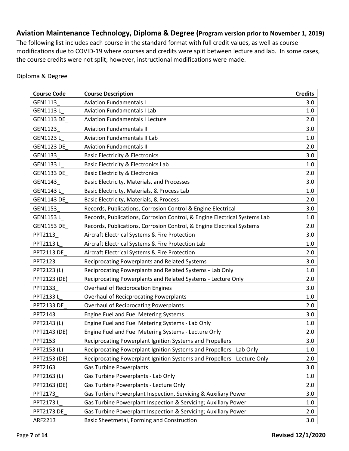## <span id="page-6-0"></span>**Aviation Maintenance Technology, Diploma & Degree (Program version prior to November 1, 2019)**

The following list includes each course in the standard format with full credit values, as well as course modifications due to COVID-19 where courses and credits were split between lecture and lab. In some cases, the course credits were not split; however, instructional modifications were made.

| <b>Course Code</b>  | <b>Course Description</b>                                                 | <b>Credits</b> |
|---------------------|---------------------------------------------------------------------------|----------------|
| GEN1113             | <b>Aviation Fundamentals I</b>                                            | 3.0            |
| GEN1113L            | <b>Aviation Fundamentals I Lab</b>                                        | 1.0            |
| <b>GEN1113 DE</b>   | <b>Aviation Fundamentals I Lecture</b>                                    | 2.0            |
| GEN1123             | <b>Aviation Fundamentals II</b>                                           | 3.0            |
| GEN1123L            | <b>Aviation Fundamentals II Lab</b>                                       | 1.0            |
| <b>GEN1123 DE</b>   | <b>Aviation Fundamentals II</b>                                           | 2.0            |
| GEN1133             | <b>Basic Electricity &amp; Electronics</b>                                | 3.0            |
| GEN1133L            | Basic Electricity & Electronics Lab                                       | 1.0            |
| <b>GEN1133 DE</b>   | <b>Basic Electricity &amp; Electronics</b>                                | 2.0            |
| GEN1143             | Basic Electricity, Materials, and Processes                               | 3.0            |
| GEN1143L            | Basic Electricity, Materials, & Process Lab                               | 1.0            |
| <b>GEN1143 DE</b>   | Basic Electricity, Materials, & Process                                   | 2.0            |
| GEN1153             | Records, Publications, Corrosion Control & Engine Electrical              | 3.0            |
| GEN1153L            | Records, Publications, Corrosion Control, & Engine Electrical Systems Lab | 1.0            |
| <b>GEN1153 DE</b>   | Records, Publications, Corrosion Control, & Engine Electrical Systems     | 2.0            |
| PPT2113             | Aircraft Electrical Systems & Fire Protection                             | 3.0            |
| PPT2113L            | Aircraft Electrical Systems & Fire Protection Lab                         | 1.0            |
| <b>PPT2113 DE</b>   | Aircraft Electrical Systems & Fire Protection                             | 2.0            |
| PPT2123             | Reciprocating Powerplants and Related Systems                             | 3.0            |
| PPT2123 (L)         | Reciprocating Powerplants and Related Systems - Lab Only                  | 1.0            |
| PPT2123 (DE)        | Reciprocating Powerplants and Related Systems - Lecture Only              | 2.0            |
| PPT2133             | <b>Overhaul of Reciprocation Engines</b>                                  | 3.0            |
| PPT2133L            | <b>Overhaul of Recicprocating Powerplants</b>                             | 1.0            |
| <b>PPT2133 DE</b>   | <b>Overhaul of Reciprocating Powerplants</b>                              | 2.0            |
| PPT2143             | Engine Fuel and Fuel Metering Systems                                     | 3.0            |
| PPT2143 (L)         | Engine Fuel and Fuel Metering Systems - Lab Only                          | 1.0            |
| PPT2143 (DE)        | Engine Fuel and Fuel Metering Systems - Lecture Only                      | 2.0            |
| PPT2153             | Reciprocating Powerplant Ignition Systems and Propellers                  | 3.0            |
| PPT2153 (L)         | Reciprocating Powerplant Ignition Systems and Propellers - Lab Only       | 1.0            |
| <b>PPT2153 (DE)</b> | Reciprocating Powerplant Ignition Systems and Propellers - Lecture Only   | 2.0            |
| PPT2163             | <b>Gas Turbine Powerplants</b>                                            | 3.0            |
| PPT2163 (L)         | Gas Turbine Powerplants - Lab Only                                        | 1.0            |
| <b>PPT2163 (DE)</b> | Gas Turbine Powerplants - Lecture Only                                    | 2.0            |
| PPT2173             | Gas Turbine Powerplant Inspection, Servicing & Auxiliary Power            | 3.0            |
| PPT2173L            | Gas Turbine Powerplant Inspection & Servicing; Auxillary Power            | 1.0            |
| <b>PPT2173 DE</b>   | Gas Turbine Powerplant Inspection & Servicing; Auxillary Power            | 2.0            |
| ARF2213             | Basic Sheetmetal, Forming and Construction                                | 3.0            |

#### Diploma & Degree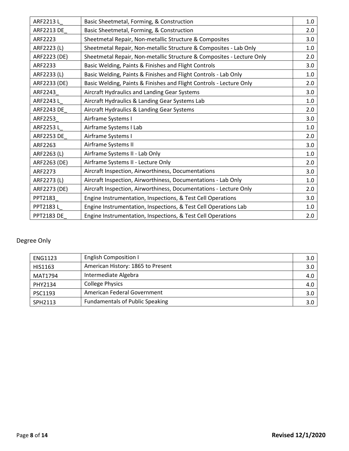| ARF2213L          | Basic Sheetmetal, Forming, & Construction                             | 1.0 |
|-------------------|-----------------------------------------------------------------------|-----|
| ARF2213 DE_       | Basic Sheetmetal, Forming, & Construction                             | 2.0 |
| ARF2223           | Sheetmetal Repair, Non-metallic Structure & Composites                | 3.0 |
| ARF2223 (L)       | Sheetmetal Repair, Non-metallic Structure & Composites - Lab Only     | 1.0 |
| ARF2223 (DE)      | Sheetmetal Repair, Non-metallic Structure & Composites - Lecture Only | 2.0 |
| ARF2233           | Basic Welding, Paints & Finishes and Flight Controls                  | 3.0 |
| ARF2233 (L)       | Basic Welding, Paints & Finishes and Flight Controls - Lab Only       | 1.0 |
| ARF2233 (DE)      | Basic Welding, Paints & Finishes and Flight Controls - Lecture Only   | 2.0 |
| ARF2243           | Aircraft Hydraulics and Landing Gear Systems                          | 3.0 |
| ARF2243L          | Aircraft Hydraulics & Landing Gear Systems Lab                        | 1.0 |
| <b>ARF2243 DE</b> | Aircraft Hydraulics & Landing Gear Systems                            | 2.0 |
| ARF2253           | Airframe Systems I                                                    | 3.0 |
| ARF2253L          | Airframe Systems I Lab                                                | 1.0 |
| <b>ARF2253 DE</b> | Airframe Systems I                                                    | 2.0 |
| ARF2263           | Airframe Systems II                                                   | 3.0 |
| ARF2263 (L)       | Airframe Systems II - Lab Only                                        | 1.0 |
| ARF2263 (DE)      | Airframe Systems II - Lecture Only                                    | 2.0 |
| ARF2273           | Aircraft Inspection, Airworthiness, Documentations                    | 3.0 |
| ARF2273 (L)       | Aircraft Inspection, Airworthiness, Documentations - Lab Only         | 1.0 |
| ARF2273 (DE)      | Aircraft Inspection, Airworthiness, Documentations - Lecture Only     | 2.0 |
| PPT2183           | Engine Instrumentation, Inspections, & Test Cell Operations           | 3.0 |
| PPT2183L          | Engine Instrumentation, Inspections, & Test Cell Operations Lab       | 1.0 |
| <b>PPT2183 DE</b> | Engine Instrumentation, Inspections, & Test Cell Operations           | 2.0 |

| <b>ENG1123</b> | <b>English Composition I</b>           | 3.0 |
|----------------|----------------------------------------|-----|
| HIS1163        | American History: 1865 to Present      | 3.0 |
| MAT1794        | Intermediate Algebra                   | 4.0 |
| PHY2134        | <b>College Physics</b>                 | 4.0 |
| PSC1193        | American Federal Government            | 3.0 |
| SPH2113        | <b>Fundamentals of Public Speaking</b> | 3.0 |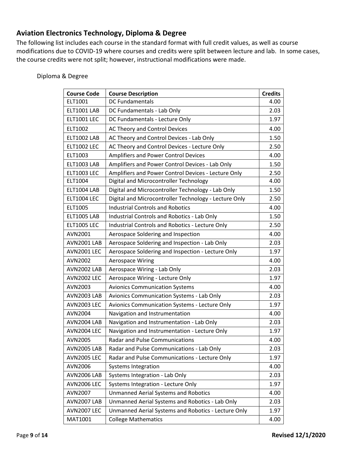## <span id="page-8-0"></span>**Aviation Electronics Technology, Diploma & Degree**

The following list includes each course in the standard format with full credit values, as well as course modifications due to COVID-19 where courses and credits were split between lecture and lab. In some cases, the course credits were not split; however, instructional modifications were made.

| <b>Course Code</b> | <b>Course Description</b>                             | <b>Credits</b> |
|--------------------|-------------------------------------------------------|----------------|
| ELT1001            | <b>DC Fundamentals</b>                                | 4.00           |
| ELT1001 LAB        | DC Fundamentals - Lab Only                            | 2.03           |
| ELT1001 LEC        | DC Fundamentals - Lecture Only                        | 1.97           |
| ELT1002            | AC Theory and Control Devices                         | 4.00           |
| <b>ELT1002 LAB</b> | AC Theory and Control Devices - Lab Only              | 1.50           |
| <b>ELT1002 LEC</b> | AC Theory and Control Devices - Lecture Only          | 2.50           |
| ELT1003            | <b>Amplifiers and Power Control Devices</b>           | 4.00           |
| <b>ELT1003 LAB</b> | Amplifiers and Power Control Devices - Lab Only       | 1.50           |
| <b>ELT1003 LEC</b> | Amplifiers and Power Control Devices - Lecture Only   | 2.50           |
| ELT1004            | Digital and Microcontroller Technology                | 4.00           |
| ELT1004 LAB        | Digital and Microcontroller Technology - Lab Only     | 1.50           |
| <b>ELT1004 LEC</b> | Digital and Microcontroller Technology - Lecture Only | 2.50           |
| ELT1005            | <b>Industrial Controls and Robotics</b>               | 4.00           |
| ELT1005 LAB        | <b>Industrial Controls and Robotics - Lab Only</b>    | 1.50           |
| <b>ELT1005 LEC</b> | Industrial Controls and Robotics - Lecture Only       | 2.50           |
| AVN2001            | Aerospace Soldering and Inspection                    | 4.00           |
| AVN2001 LAB        | Aerospace Soldering and Inspection - Lab Only         | 2.03           |
| <b>AVN2001 LEC</b> | Aerospace Soldering and Inspection - Lecture Only     | 1.97           |
| AVN2002            | <b>Aerospace Wiring</b>                               | 4.00           |
| <b>AVN2002 LAB</b> | Aerospace Wiring - Lab Only                           | 2.03           |
| <b>AVN2002 LEC</b> | Aerospace Wiring - Lecture Only                       | 1.97           |
| AVN2003            | <b>Avionics Communication Systems</b>                 | 4.00           |
| AVN2003 LAB        | Avionics Communication Systems - Lab Only             | 2.03           |
| <b>AVN2003 LEC</b> | Avionics Communication Systems - Lecture Only         | 1.97           |
| <b>AVN2004</b>     | Navigation and Instrumentation                        | 4.00           |
| AVN2004 LAB        | Navigation and Instrumentation - Lab Only             | 2.03           |
| <b>AVN2004 LEC</b> | Navigation and Instrumentation - Lecture Only         | 1.97           |
| AVN2005            | Radar and Pulse Communications                        | 4.00           |
| <b>AVN2005 LAB</b> | Radar and Pulse Communications - Lab Only             | 2.03           |
| <b>AVN2005 LEC</b> | Radar and Pulse Communications - Lecture Only         | 1.97           |
| AVN2006            | <b>Systems Integration</b>                            | 4.00           |
| <b>AVN2006 LAB</b> | Systems Integration - Lab Only                        | 2.03           |
| <b>AVN2006 LEC</b> | Systems Integration - Lecture Only                    | 1.97           |
| AVN2007            | <b>Unmanned Aerial Systems and Robotics</b>           | 4.00           |
| AVN2007 LAB        | Unmanned Aerial Systems and Robotics - Lab Only       | 2.03           |
| <b>AVN2007 LEC</b> | Unmanned Aerial Systems and Robotics - Lecture Only   | 1.97           |
| MAT1001            | <b>College Mathematics</b>                            | 4.00           |

#### Diploma & Degree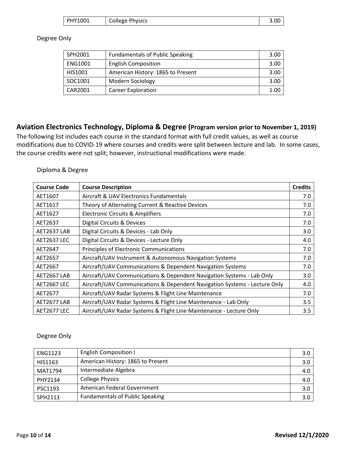| PHY1001 | <b>College Physics</b> | 3.0C |
|---------|------------------------|------|
|---------|------------------------|------|

#### Degree Only

| SPH2001        | <b>Fundamentals of Public Speaking</b> | 3.00 |
|----------------|----------------------------------------|------|
| <b>ENG1001</b> | <b>English Composition</b>             | 3.00 |
| HIS1001        | American History: 1865 to Present      | 3.00 |
| SOC1001        | <b>Modern Sociology</b>                | 3.00 |
| <b>CAR2001</b> | <b>Career Exploration</b>              | 1.00 |

## <span id="page-9-0"></span>**Aviation Electronics Technology, Diploma & Degree (Program version prior to November 1, 2019)**

The following list includes each course in the standard format with full credit values, as well as course modifications due to COVID-19 where courses and credits were split between lecture and lab. In some cases, the course credits were not split; however, instructional modifications were made.

#### Diploma & Degree

| <b>Course Code</b> | <b>Course Description</b>                                                 | <b>Credits</b> |
|--------------------|---------------------------------------------------------------------------|----------------|
| AET1607            | Aircraft & UAV Electronics Fundamentals                                   | 7.0            |
| AET1617            | Theory of Alternating Current & Reactive Devices                          | 7.0            |
| AET1627            | <b>Electronic Circuits &amp; Amplifiers</b>                               | 7.0            |
| AET2637            | Digital Circuits & Devices                                                | 7.0            |
| AET2637 LAB        | Digital Circuits & Devices - Lab Only                                     | 3.0            |
| <b>AET2637 LEC</b> | Digital Circuits & Devices - Lecture Only                                 | 4.0            |
| AET2647            | Principles of Electronic Communications                                   | 7.0            |
| AET2657            | Aircraft/UAV Instrument & Autonomous Navigation Systems                   | 7.0            |
| AET2667            | Aircraft/UAV Communications & Dependent Navigation Systems                | 7.0            |
| AET2667 LAB        | Aircraft/UAV Communications & Dependent Navigation Systems - Lab Only     | 3.0            |
| <b>AET2667 LEC</b> | Aircraft/UAV Communications & Dependent Navigation Systems - Lecture Only | 4.0            |
| AET2677            | Aircraft/UAV Radar Systems & Flight Line Maintenance                      | 7.0            |
| AET2677 LAB        | Aircraft/UAV Radar Systems & Flight Line Maintenance - Lab Only           | 3.5            |
| <b>AET2677 LEC</b> | Aircraft/UAV Radar Systems & Flight Line Maintenance - Lecture Only       | 3.5            |

| <b>ENG1123</b> | <b>English Composition I</b>           | 3.0 <sub>2</sub> |
|----------------|----------------------------------------|------------------|
| HIS1163        | American History: 1865 to Present      | 3.0 <sub>2</sub> |
| MAT1794        | Intermediate Algebra                   | 4.0              |
| PHY2134        | <b>College Physics</b>                 | 4.0              |
| PSC1193        | American Federal Government            | 3.0              |
| SPH2113        | <b>Fundamentals of Public Speaking</b> | 3.0 <sub>2</sub> |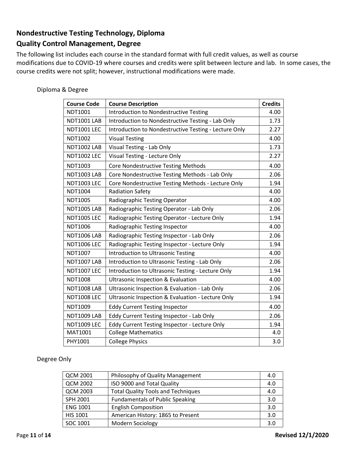## <span id="page-10-0"></span>**Nondestructive Testing Technology, Diploma Quality Control Management, Degree**

The following list includes each course in the standard format with full credit values, as well as course modifications due to COVID-19 where courses and credits were split between lecture and lab. In some cases, the course credits were not split; however, instructional modifications were made.

| Diploma & Degree |  |  |
|------------------|--|--|
|------------------|--|--|

| <b>Course Code</b> | <b>Course Description</b>                             | <b>Credits</b> |
|--------------------|-------------------------------------------------------|----------------|
| NDT1001            | <b>Introduction to Nondestructive Testing</b>         | 4.00           |
| <b>NDT1001 LAB</b> | Introduction to Nondestructive Testing - Lab Only     | 1.73           |
| <b>NDT1001 LEC</b> | Introduction to Nondestructive Testing - Lecture Only | 2.27           |
| NDT1002            | <b>Visual Testing</b>                                 | 4.00           |
| <b>NDT1002 LAB</b> | Visual Testing - Lab Only                             | 1.73           |
| <b>NDT1002 LEC</b> | Visual Testing - Lecture Only                         | 2.27           |
| NDT1003            | <b>Core Nondestructive Testing Methods</b>            | 4.00           |
| <b>NDT1003 LAB</b> | Core Nondestructive Testing Methods - Lab Only        | 2.06           |
| <b>NDT1003 LEC</b> | Core Nondestructive Testing Methods - Lecture Only    | 1.94           |
| <b>NDT1004</b>     | <b>Radiation Safety</b>                               | 4.00           |
| <b>NDT1005</b>     | Radiographic Testing Operator                         | 4.00           |
| <b>NDT1005 LAB</b> | Radiographic Testing Operator - Lab Only              | 2.06           |
| <b>NDT1005 LEC</b> | Radiographic Testing Operator - Lecture Only          | 1.94           |
| <b>NDT1006</b>     | Radiographic Testing Inspector                        | 4.00           |
| <b>NDT1006 LAB</b> | Radiographic Testing Inspector - Lab Only             | 2.06           |
| <b>NDT1006 LEC</b> | Radiographic Testing Inspector - Lecture Only         | 1.94           |
| NDT1007            | <b>Introduction to Ultrasonic Testing</b>             | 4.00           |
| <b>NDT1007 LAB</b> | Introduction to Ultrasonic Testing - Lab Only         | 2.06           |
| <b>NDT1007 LEC</b> | Introduction to Ultrasonic Testing - Lecture Only     | 1.94           |
| <b>NDT1008</b>     | <b>Ultrasonic Inspection &amp; Evaluation</b>         | 4.00           |
| <b>NDT1008 LAB</b> | Ultrasonic Inspection & Evaluation - Lab Only         | 2.06           |
| <b>NDT1008 LEC</b> | Ultrasonic Inspection & Evaluation - Lecture Only     | 1.94           |
| NDT1009            | <b>Eddy Current Testing Inspector</b>                 | 4.00           |
| <b>NDT1009 LAB</b> | Eddy Current Testing Inspector - Lab Only             | 2.06           |
| <b>NDT1009 LEC</b> | Eddy Current Testing Inspector - Lecture Only         | 1.94           |
| MAT1001            | <b>College Mathematics</b>                            | 4.0            |
| PHY1001            | <b>College Physics</b>                                | 3.0            |

| <b>QCM 2001</b> | Philosophy of Quality Management          | 4.0 |
|-----------------|-------------------------------------------|-----|
| <b>QCM 2002</b> | ISO 9000 and Total Quality                | 4.0 |
| <b>QCM 2003</b> | <b>Total Quality Tools and Techniques</b> | 4.0 |
| SPH 2001        | <b>Fundamentals of Public Speaking</b>    | 3.0 |
| <b>ENG 1001</b> | <b>English Composition</b>                | 3.0 |
| <b>HIS 1001</b> | American History: 1865 to Present         | 3.0 |
| SOC 1001        | Modern Sociology                          | 3.0 |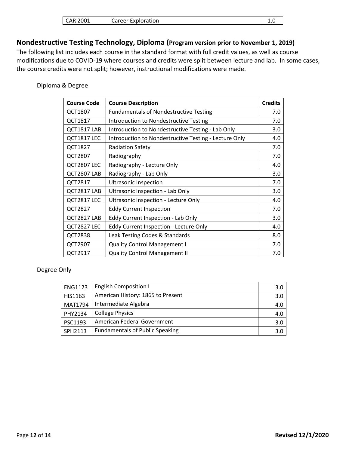## <span id="page-11-0"></span>**Nondestructive Testing Technology, Diploma (Program version prior to November 1, 2019)**

The following list includes each course in the standard format with full credit values, as well as course modifications due to COVID-19 where courses and credits were split between lecture and lab. In some cases, the course credits were not split; however, instructional modifications were made.

#### Diploma & Degree

 $\overline{\phantom{a}}$ 

| <b>Course Code</b> | <b>Course Description</b>                             | <b>Credits</b> |
|--------------------|-------------------------------------------------------|----------------|
| QCT1807            | <b>Fundamentals of Nondestructive Testing</b>         | 7.0            |
| QCT1817            | <b>Introduction to Nondestructive Testing</b>         | 7.0            |
| QCT1817 LAB        | Introduction to Nondestructive Testing - Lab Only     | 3.0            |
| QCT1817 LEC        | Introduction to Nondestructive Testing - Lecture Only | 4.0            |
| QCT1827            | <b>Radiation Safety</b>                               | 7.0            |
| QCT2807            | Radiography                                           | 7.0            |
| QCT2807 LEC        | Radiography - Lecture Only                            | 4.0            |
| QCT2807 LAB        | Radiography - Lab Only                                | 3.0            |
| QCT2817            | <b>Ultrasonic Inspection</b>                          | 7.0            |
| QCT2817 LAB        | Ultrasonic Inspection - Lab Only                      | 3.0            |
| QCT2817 LEC        | Ultrasonic Inspection - Lecture Only                  | 4.0            |
| <b>QCT2827</b>     | <b>Eddy Current Inspection</b>                        | 7.0            |
| QCT2827 LAB        | Eddy Current Inspection - Lab Only                    | 3.0            |
| QCT2827 LEC        | <b>Eddy Current Inspection - Lecture Only</b>         | 4.0            |
| <b>QCT2838</b>     | Leak Testing Codes & Standards                        | 8.0            |
| QCT2907            | <b>Quality Control Management I</b>                   | 7.0            |
| QCT2917            | <b>Quality Control Management II</b>                  | 7.0            |

| <b>ENG1123</b> | <b>English Composition I</b>           | 3.0 |
|----------------|----------------------------------------|-----|
| HIS1163        | American History: 1865 to Present      | 3.0 |
| MAT1794        | Intermediate Algebra                   | 4.0 |
| PHY2134        | <b>College Physics</b>                 | 4.0 |
| PSC1193        | American Federal Government            | 3.0 |
| SPH2113        | <b>Fundamentals of Public Speaking</b> | 3.0 |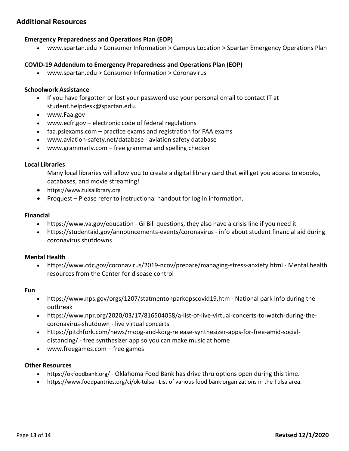## <span id="page-12-0"></span>**Additional Resources**

#### **Emergency Preparedness and Operations Plan (EOP)**

• www.spartan.edu > Consumer Information > Campus Location > Spartan Emergency Operations Plan

#### **COVID-19 Addendum to Emergency Preparedness and Operations Plan (EOP)**

• www.spartan.edu > Consumer Information > Coronavirus

#### **Schoolwork Assistance**

- If you have forgotten or lost your password use your personal email to contact IT at student.helpdesk@spartan.edu.
- www.Faa.gov
- www.ecfr.gov electronic code of federal regulations
- faa.psiexams.com practice exams and registration for FAA exams
- www.aviation-safety.net/database aviation safety database
- www.grammarly.com free grammar and spelling checker

#### **Local Libraries**

Many local libraries will allow you to create a digital library card that will get you access to ebooks, databases, and movie streaming!

- https://www.tulsalibrary.org
- Proquest Please refer to instructional handout for log in information.

#### **Financial**

- https://www.va.gov/education GI Bill questions, they also have a crisis line if you need it
- https://studentaid.gov/announcements-events/coronavirus info about student financial aid during coronavirus shutdowns

#### **Mental Health**

• https://www.cdc.gov/coronavirus/2019-ncov/prepare/managing-stress-anxiety.html - Mental health resources from the Center for disease control

#### **Fun**

- https://www.nps.gov/orgs/1207/statmentonparkopscovid19.htm National park info during the outbreak
- https://www.npr.org/2020/03/17/816504058/a-list-of-live-virtual-concerts-to-watch-during-thecoronavirus-shutdown - live virtual concerts
- https://pitchfork.com/news/moog-and-korg-release-synthesizer-apps-for-free-amid-socialdistancing/ - free synthesizer app so you can make music at home
- www.freegames.com free games

#### **Other Resources**

- https://okfoodbank.org/ Oklahoma Food Bank has drive thru options open during this time.
- https://www.foodpantries.org/ci/ok-tulsa List of various food bank organizations in the Tulsa area.